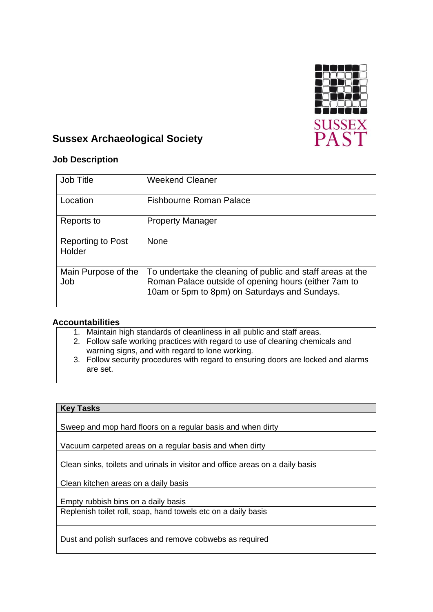

# **Sussex Archaeological Society**

## **Job Description**

| <b>Job Title</b>                   | <b>Weekend Cleaner</b>                                                                                                                                              |
|------------------------------------|---------------------------------------------------------------------------------------------------------------------------------------------------------------------|
| Location                           | <b>Fishbourne Roman Palace</b>                                                                                                                                      |
| Reports to                         | <b>Property Manager</b>                                                                                                                                             |
| <b>Reporting to Post</b><br>Holder | None                                                                                                                                                                |
| Main Purpose of the<br>Job         | To undertake the cleaning of public and staff areas at the<br>Roman Palace outside of opening hours (either 7am to<br>10am or 5pm to 8pm) on Saturdays and Sundays. |

## **Accountabilities**

1. Maintain high standards of cleanliness in all public and staff areas.

- 2. Follow safe working practices with regard to use of cleaning chemicals and warning signs, and with regard to lone working.
- 3. Follow security procedures with regard to ensuring doors are locked and alarms are set.

### **Key Tasks**

Sweep and mop hard floors on a regular basis and when dirty

Vacuum carpeted areas on a regular basis and when dirty

Clean sinks, toilets and urinals in visitor and office areas on a daily basis

Clean kitchen areas on a daily basis

Empty rubbish bins on a daily basis

Replenish toilet roll, soap, hand towels etc on a daily basis

Dust and polish surfaces and remove cobwebs as required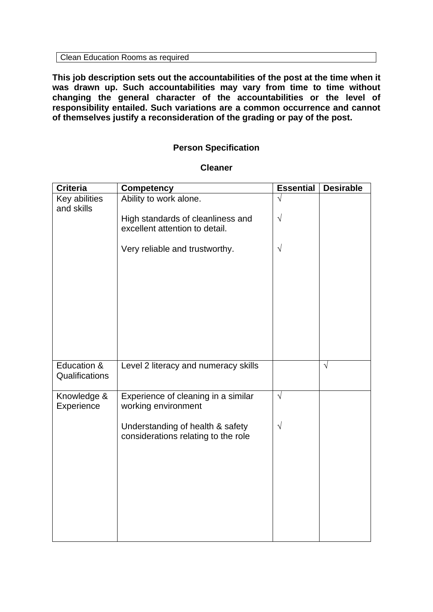**This job description sets out the accountabilities of the post at the time when it was drawn up. Such accountabilities may vary from time to time without changing the general character of the accountabilities or the level of responsibility entailed. Such variations are a common occurrence and cannot of themselves justify a reconsideration of the grading or pay of the post.**

## **Person Specification**

| <b>Criteria</b>               | <b>Competency</b>                                                       | <b>Essential</b> | <b>Desirable</b> |
|-------------------------------|-------------------------------------------------------------------------|------------------|------------------|
| Key abilities<br>and skills   | Ability to work alone.                                                  |                  |                  |
|                               | High standards of cleanliness and<br>excellent attention to detail.     | $\sqrt{}$        |                  |
|                               | Very reliable and trustworthy.                                          | $\sqrt{}$        |                  |
|                               |                                                                         |                  |                  |
|                               |                                                                         |                  |                  |
|                               |                                                                         |                  |                  |
|                               |                                                                         |                  |                  |
| Education &<br>Qualifications | Level 2 literacy and numeracy skills                                    |                  | $\sqrt{ }$       |
| Knowledge &<br>Experience     | Experience of cleaning in a similar<br>working environment              | $\sqrt{}$        |                  |
|                               | Understanding of health & safety<br>considerations relating to the role | $\sqrt{}$        |                  |
|                               |                                                                         |                  |                  |
|                               |                                                                         |                  |                  |
|                               |                                                                         |                  |                  |
|                               |                                                                         |                  |                  |

#### **Cleaner**